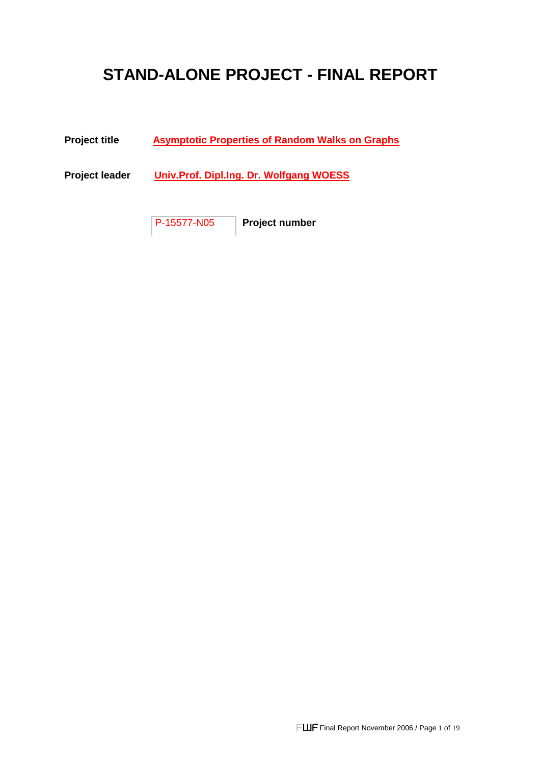# **STAND-ALONE PROJECT - FINAL REPORT**

### **Project title Asymptotic Properties of Random Walks on Graphs**

**Project leader Univ.Prof. Dipl.Ing. Dr. Wolfgang WOESS** 

P-15577-N05 **Project number**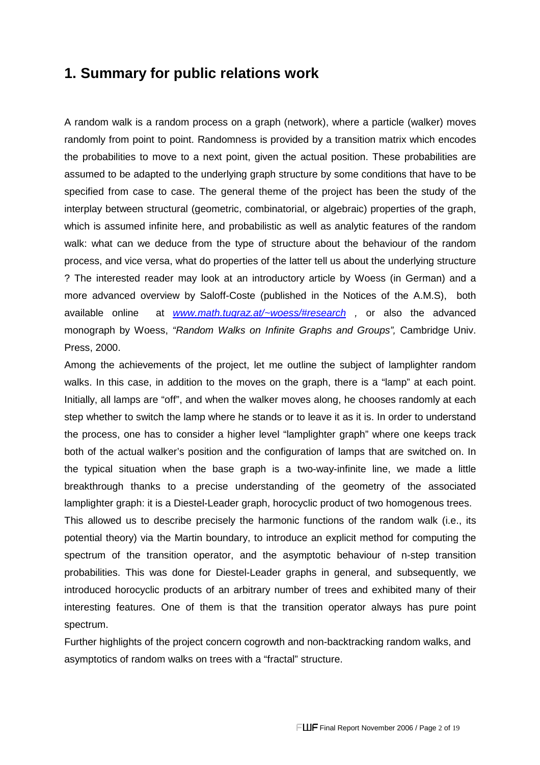## **1. Summary for public relations work**

A random walk is a random process on a graph (network), where a particle (walker) moves randomly from point to point. Randomness is provided by a transition matrix which encodes the probabilities to move to a next point, given the actual position. These probabilities are assumed to be adapted to the underlying graph structure by some conditions that have to be specified from case to case. The general theme of the project has been the study of the interplay between structural (geometric, combinatorial, or algebraic) properties of the graph, which is assumed infinite here, and probabilistic as well as analytic features of the random walk: what can we deduce from the type of structure about the behaviour of the random process, and vice versa, what do properties of the latter tell us about the underlying structure ? The interested reader may look at an introductory article by Woess (in German) and a more advanced overview by Saloff-Coste (published in the Notices of the A.M.S), both available online at www.math.tugraz.at/~woess/#research, or also the advanced monograph by Woess, "Random Walks on Infinite Graphs and Groups", Cambridge Univ. Press, 2000.

Among the achievements of the project, let me outline the subject of lamplighter random walks. In this case, in addition to the moves on the graph, there is a "lamp" at each point. Initially, all lamps are "off", and when the walker moves along, he chooses randomly at each step whether to switch the lamp where he stands or to leave it as it is. In order to understand the process, one has to consider a higher level "lamplighter graph" where one keeps track both of the actual walker's position and the configuration of lamps that are switched on. In the typical situation when the base graph is a two-way-infinite line, we made a little breakthrough thanks to a precise understanding of the geometry of the associated lamplighter graph: it is a Diestel-Leader graph, horocyclic product of two homogenous trees.

This allowed us to describe precisely the harmonic functions of the random walk (i.e., its potential theory) via the Martin boundary, to introduce an explicit method for computing the spectrum of the transition operator, and the asymptotic behaviour of n-step transition probabilities. This was done for Diestel-Leader graphs in general, and subsequently, we introduced horocyclic products of an arbitrary number of trees and exhibited many of their interesting features. One of them is that the transition operator always has pure point spectrum.

Further highlights of the project concern cogrowth and non-backtracking random walks, and asymptotics of random walks on trees with a "fractal" structure.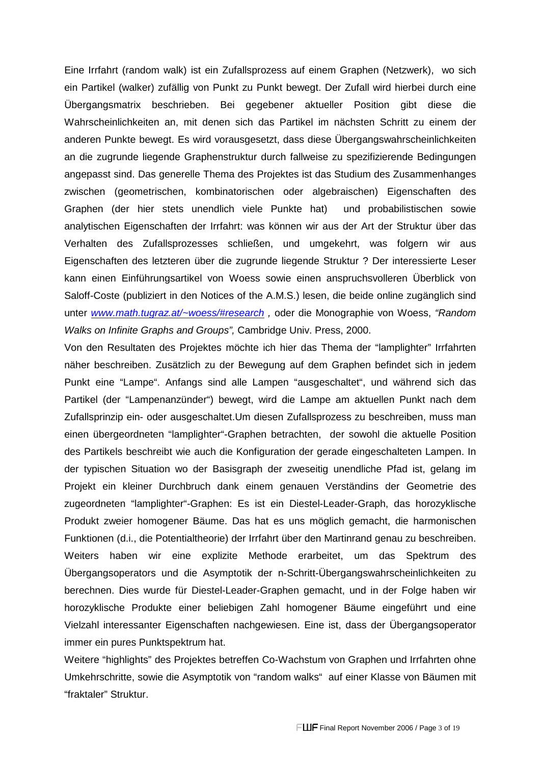Eine Irrfahrt (random walk) ist ein Zufallsprozess auf einem Graphen (Netzwerk), wo sich ein Partikel (walker) zufällig von Punkt zu Punkt bewegt. Der Zufall wird hierbei durch eine Übergangsmatrix beschrieben. Bei gegebener aktueller Position gibt diese die Wahrscheinlichkeiten an, mit denen sich das Partikel im nächsten Schritt zu einem der anderen Punkte bewegt. Es wird vorausgesetzt, dass diese Übergangswahrscheinlichkeiten an die zugrunde liegende Graphenstruktur durch fallweise zu spezifizierende Bedingungen angepasst sind. Das generelle Thema des Projektes ist das Studium des Zusammenhanges zwischen (geometrischen, kombinatorischen oder algebraischen) Eigenschaften des Graphen (der hier stets unendlich viele Punkte hat) und probabilistischen sowie analytischen Eigenschaften der Irrfahrt: was können wir aus der Art der Struktur über das Verhalten des Zufallsprozesses schließen, und umgekehrt, was folgern wir aus Eigenschaften des letzteren über die zugrunde liegende Struktur ? Der interessierte Leser kann einen Einführungsartikel von Woess sowie einen anspruchsvolleren Überblick von Saloff-Coste (publiziert in den Notices of the A.M.S.) lesen, die beide online zugänglich sind unter www.math.tugraz.at/~woess/#research, oder die Monographie von Woess, "Random Walks on Infinite Graphs and Groups", Cambridge Univ. Press, 2000.

Von den Resultaten des Projektes möchte ich hier das Thema der "lamplighter" Irrfahrten näher beschreiben. Zusätzlich zu der Bewegung auf dem Graphen befindet sich in jedem Punkt eine "Lampe". Anfangs sind alle Lampen "ausgeschaltet", und während sich das Partikel (der "Lampenanzünder") bewegt, wird die Lampe am aktuellen Punkt nach dem Zufallsprinzip ein- oder ausgeschaltet.Um diesen Zufallsprozess zu beschreiben, muss man einen übergeordneten "lamplighter"-Graphen betrachten, der sowohl die aktuelle Position des Partikels beschreibt wie auch die Konfiguration der gerade eingeschalteten Lampen. In der typischen Situation wo der Basisgraph der zweseitig unendliche Pfad ist, gelang im Projekt ein kleiner Durchbruch dank einem genauen Verständins der Geometrie des zugeordneten "lamplighter"-Graphen: Es ist ein Diestel-Leader-Graph, das horozyklische Produkt zweier homogener Bäume. Das hat es uns möglich gemacht, die harmonischen Funktionen (d.i., die Potentialtheorie) der Irrfahrt über den Martinrand genau zu beschreiben. Weiters haben wir eine explizite Methode erarbeitet, um das Spektrum des Übergangsoperators und die Asymptotik der n-Schritt-Übergangswahrscheinlichkeiten zu berechnen. Dies wurde für Diestel-Leader-Graphen gemacht, und in der Folge haben wir horozyklische Produkte einer beliebigen Zahl homogener Bäume eingeführt und eine Vielzahl interessanter Eigenschaften nachgewiesen. Eine ist, dass der Übergangsoperator immer ein pures Punktspektrum hat.

Weitere "highlights" des Projektes betreffen Co-Wachstum von Graphen und Irrfahrten ohne Umkehrschritte, sowie die Asymptotik von "random walks" auf einer Klasse von Bäumen mit "fraktaler" Struktur.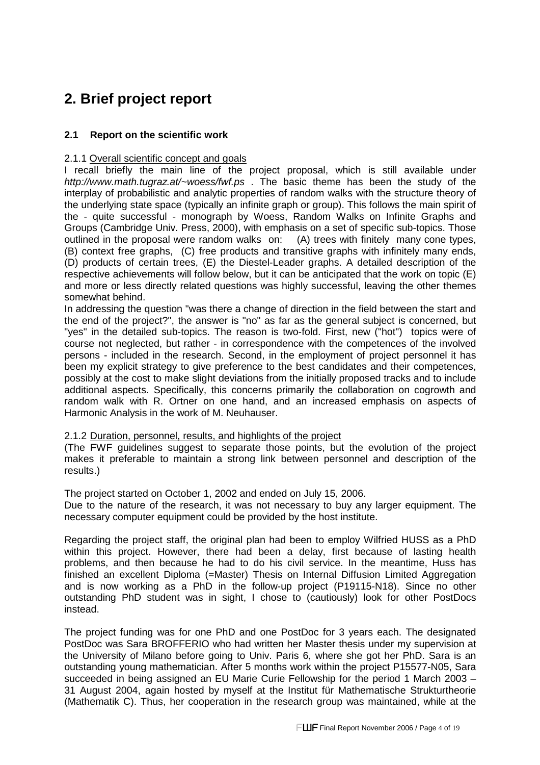## **2. Brief project report**

### **2.1 Report on the scientific work**

#### 2.1.1 Overall scientific concept and goals

I recall briefly the main line of the project proposal, which is still available under http://www.math.tugraz.at/~woess/fwf.ps . The basic theme has been the study of the interplay of probabilistic and analytic properties of random walks with the structure theory of the underlying state space (typically an infinite graph or group). This follows the main spirit of the - quite successful - monograph by Woess, Random Walks on Infinite Graphs and Groups (Cambridge Univ. Press, 2000), with emphasis on a set of specific sub-topics. Those outlined in the proposal were random walks on: (A) trees with finitely many cone types, (B) context free graphs, (C) free products and transitive graphs with infinitely many ends, (D) products of certain trees, (E) the Diestel-Leader graphs. A detailed description of the respective achievements will follow below, but it can be anticipated that the work on topic (E) and more or less directly related questions was highly successful, leaving the other themes somewhat behind.

In addressing the question "was there a change of direction in the field between the start and the end of the project?", the answer is "no" as far as the general subject is concerned, but "yes" in the detailed sub-topics. The reason is two-fold. First, new ("hot") topics were of course not neglected, but rather - in correspondence with the competences of the involved persons - included in the research. Second, in the employment of project personnel it has been my explicit strategy to give preference to the best candidates and their competences, possibly at the cost to make slight deviations from the initially proposed tracks and to include additional aspects. Specifically, this concerns primarily the collaboration on cogrowth and random walk with R. Ortner on one hand, and an increased emphasis on aspects of Harmonic Analysis in the work of M. Neuhauser.

#### 2.1.2 Duration, personnel, results, and highlights of the project

(The FWF guidelines suggest to separate those points, but the evolution of the project makes it preferable to maintain a strong link between personnel and description of the results.)

The project started on October 1, 2002 and ended on July 15, 2006.

Due to the nature of the research, it was not necessary to buy any larger equipment. The necessary computer equipment could be provided by the host institute.

Regarding the project staff, the original plan had been to employ Wilfried HUSS as a PhD within this project. However, there had been a delay, first because of lasting health problems, and then because he had to do his civil service. In the meantime, Huss has finished an excellent Diploma (=Master) Thesis on Internal Diffusion Limited Aggregation and is now working as a PhD in the follow-up project (P19115-N18). Since no other outstanding PhD student was in sight, I chose to (cautiously) look for other PostDocs instead.

The project funding was for one PhD and one PostDoc for 3 years each. The designated PostDoc was Sara BROFFERIO who had written her Master thesis under my supervision at the University of Milano before going to Univ. Paris 6, where she got her PhD. Sara is an outstanding young mathematician. After 5 months work within the project P15577-N05, Sara succeeded in being assigned an EU Marie Curie Fellowship for the period 1 March 2003 – 31 August 2004, again hosted by myself at the Institut für Mathematische Strukturtheorie (Mathematik C). Thus, her cooperation in the research group was maintained, while at the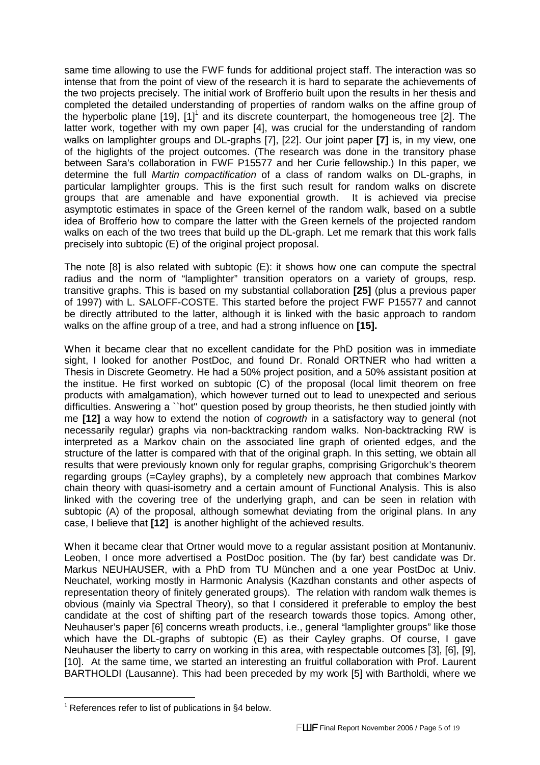same time allowing to use the FWF funds for additional project staff. The interaction was so intense that from the point of view of the research it is hard to separate the achievements of the two projects precisely. The initial work of Brofferio built upon the results in her thesis and completed the detailed understanding of properties of random walks on the affine group of the hyperbolic plane [19], [1]<sup>1</sup> and its discrete counterpart, the homogeneous tree [2]. The latter work, together with my own paper [4], was crucial for the understanding of random walks on lamplighter groups and DL-graphs [7], [22]. Our joint paper **[7]** is, in my view, one of the higlights of the project outcomes. (The research was done in the transitory phase between Sara's collaboration in FWF P15577 and her Curie fellowship.) In this paper, we determine the full Martin compactification of a class of random walks on DL-graphs, in particular lamplighter groups. This is the first such result for random walks on discrete groups that are amenable and have exponential growth. It is achieved via precise asymptotic estimates in space of the Green kernel of the random walk, based on a subtle idea of Brofferio how to compare the latter with the Green kernels of the projected random walks on each of the two trees that build up the DL-graph. Let me remark that this work falls precisely into subtopic (E) of the original project proposal.

The note [8] is also related with subtopic (E): it shows how one can compute the spectral radius and the norm of "lamplighter" transition operators on a variety of groups, resp. transitive graphs. This is based on my substantial collaboration **[25]** (plus a previous paper of 1997) with L. SALOFF-COSTE. This started before the project FWF P15577 and cannot be directly attributed to the latter, although it is linked with the basic approach to random walks on the affine group of a tree, and had a strong influence on **[15].** 

When it became clear that no excellent candidate for the PhD position was in immediate sight, I looked for another PostDoc, and found Dr. Ronald ORTNER who had written a Thesis in Discrete Geometry. He had a 50% project position, and a 50% assistant position at the institue. He first worked on subtopic (C) of the proposal (local limit theorem on free products with amalgamation), which however turned out to lead to unexpected and serious difficulties. Answering a ``hot'' question posed by group theorists, he then studied jointly with me **[12]** a way how to extend the notion of cogrowth in a satisfactory way to general (not necessarily regular) graphs via non-backtracking random walks. Non-backtracking RW is interpreted as a Markov chain on the associated line graph of oriented edges, and the structure of the latter is compared with that of the original graph. In this setting, we obtain all results that were previously known only for regular graphs, comprising Grigorchuk's theorem regarding groups (=Cayley graphs), by a completely new approach that combines Markov chain theory with quasi-isometry and a certain amount of Functional Analysis. This is also linked with the covering tree of the underlying graph, and can be seen in relation with subtopic (A) of the proposal, although somewhat deviating from the original plans. In any case, I believe that **[12]** is another highlight of the achieved results.

When it became clear that Ortner would move to a regular assistant position at Montanuniv. Leoben, I once more advertised a PostDoc position. The (by far) best candidate was Dr. Markus NEUHAUSER, with a PhD from TU München and a one year PostDoc at Univ. Neuchatel, working mostly in Harmonic Analysis (Kazdhan constants and other aspects of representation theory of finitely generated groups). The relation with random walk themes is obvious (mainly via Spectral Theory), so that I considered it preferable to employ the best candidate at the cost of shifting part of the research towards those topics. Among other, Neuhauser's paper [6] concerns wreath products, i.e., general "lamplighter groups" like those which have the DL-graphs of subtopic (E) as their Cayley graphs. Of course, I gave Neuhauser the liberty to carry on working in this area, with respectable outcomes [3], [6], [9], [10]. At the same time, we started an interesting an fruitful collaboration with Prof. Laurent BARTHOLDI (Lausanne). This had been preceded by my work [5] with Bartholdi, where we

 $\overline{a}$ 

 $1$  References refer to list of publications in §4 below.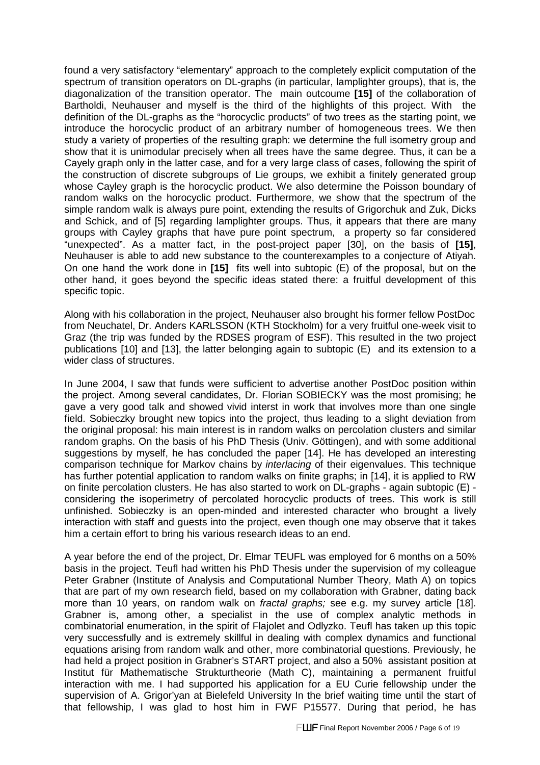found a very satisfactory "elementary" approach to the completely explicit computation of the spectrum of transition operators on DL-graphs (in particular, lamplighter groups), that is, the diagonalization of the transition operator. The main outcoume **[15]** of the collaboration of Bartholdi, Neuhauser and myself is the third of the highlights of this project. With the definition of the DL-graphs as the "horocyclic products" of two trees as the starting point, we introduce the horocyclic product of an arbitrary number of homogeneous trees. We then study a variety of properties of the resulting graph: we determine the full isometry group and show that it is unimodular precisely when all trees have the same degree. Thus, it can be a Cayely graph only in the latter case, and for a very large class of cases, following the spirit of the construction of discrete subgroups of Lie groups, we exhibit a finitely generated group whose Cayley graph is the horocyclic product. We also determine the Poisson boundary of random walks on the horocyclic product. Furthermore, we show that the spectrum of the simple random walk is always pure point, extending the results of Grigorchuk and Zuk, Dicks and Schick, and of [5] regarding lamplighter groups. Thus, it appears that there are many groups with Cayley graphs that have pure point spectrum, a property so far considered "unexpected". As a matter fact, in the post-project paper [30], on the basis of **[15]**, Neuhauser is able to add new substance to the counterexamples to a conjecture of Atiyah. On one hand the work done in **[15]** fits well into subtopic (E) of the proposal, but on the other hand, it goes beyond the specific ideas stated there: a fruitful development of this specific topic.

Along with his collaboration in the project, Neuhauser also brought his former fellow PostDoc from Neuchatel, Dr. Anders KARLSSON (KTH Stockholm) for a very fruitful one-week visit to Graz (the trip was funded by the RDSES program of ESF). This resulted in the two project publications [10] and [13], the latter belonging again to subtopic (E) and its extension to a wider class of structures.

In June 2004, I saw that funds were sufficient to advertise another PostDoc position within the project. Among several candidates, Dr. Florian SOBIECKY was the most promising; he gave a very good talk and showed vivid interst in work that involves more than one single field. Sobieczky brought new topics into the project, thus leading to a slight deviation from the original proposal: his main interest is in random walks on percolation clusters and similar random graphs. On the basis of his PhD Thesis (Univ. Göttingen), and with some additional suggestions by myself, he has concluded the paper [14]. He has developed an interesting comparison technique for Markov chains by interlacing of their eigenvalues. This technique has further potential application to random walks on finite graphs; in [14], it is applied to RW on finite percolation clusters. He has also started to work on DL-graphs - again subtopic (E) considering the isoperimetry of percolated horocyclic products of trees. This work is still unfinished. Sobieczky is an open-minded and interested character who brought a lively interaction with staff and guests into the project, even though one may observe that it takes him a certain effort to bring his various research ideas to an end.

A year before the end of the project, Dr. Elmar TEUFL was employed for 6 months on a 50% basis in the project. Teufl had written his PhD Thesis under the supervision of my colleague Peter Grabner (Institute of Analysis and Computational Number Theory, Math A) on topics that are part of my own research field, based on my collaboration with Grabner, dating back more than 10 years, on random walk on fractal graphs; see e.g. my survey article [18]. Grabner is, among other, a specialist in the use of complex analytic methods in combinatorial enumeration, in the spirit of Flajolet and Odlyzko. Teufl has taken up this topic very successfully and is extremely skillful in dealing with complex dynamics and functional equations arising from random walk and other, more combinatorial questions. Previously, he had held a project position in Grabner's START project, and also a 50% assistant position at Institut für Mathematische Strukturtheorie (Math C), maintaining a permanent fruitful interaction with me. I had supported his application for a EU Curie fellowship under the supervision of A. Grigor'yan at Bielefeld University In the brief waiting time until the start of that fellowship, I was glad to host him in FWF P15577. During that period, he has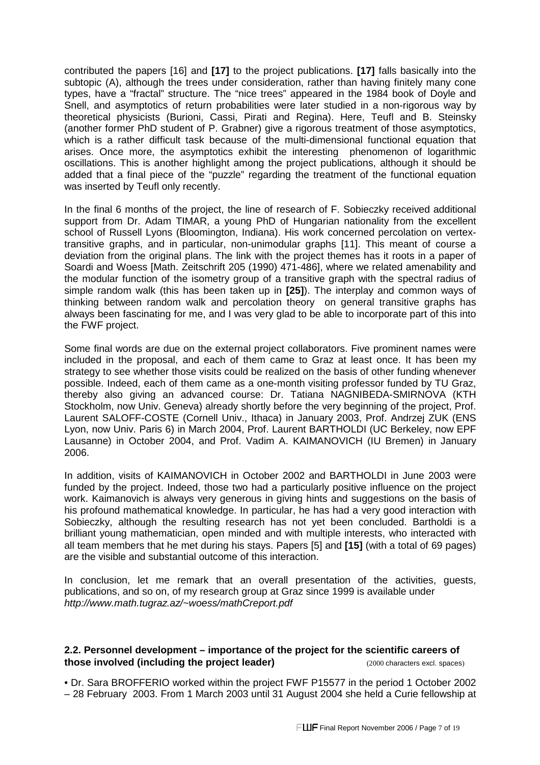contributed the papers [16] and **[17]** to the project publications. **[17]** falls basically into the subtopic (A), although the trees under consideration, rather than having finitely many cone types, have a "fractal" structure. The "nice trees" appeared in the 1984 book of Doyle and Snell, and asymptotics of return probabilities were later studied in a non-rigorous way by theoretical physicists (Burioni, Cassi, Pirati and Regina). Here, Teufl and B. Steinsky (another former PhD student of P. Grabner) give a rigorous treatment of those asymptotics, which is a rather difficult task because of the multi-dimensional functional equation that arises. Once more, the asymptotics exhibit the interesting phenomenon of logarithmic oscillations. This is another highlight among the project publications, although it should be added that a final piece of the "puzzle" regarding the treatment of the functional equation was inserted by Teufl only recently.

In the final 6 months of the project, the line of research of F. Sobieczky received additional support from Dr. Adam TIMAR, a young PhD of Hungarian nationality from the excellent school of Russell Lyons (Bloomington, Indiana). His work concerned percolation on vertextransitive graphs, and in particular, non-unimodular graphs [11]. This meant of course a deviation from the original plans. The link with the project themes has it roots in a paper of Soardi and Woess [Math. Zeitschrift 205 (1990) 471-486], where we related amenability and the modular function of the isometry group of a transitive graph with the spectral radius of simple random walk (this has been taken up in **[25]**). The interplay and common ways of thinking between random walk and percolation theory on general transitive graphs has always been fascinating for me, and I was very glad to be able to incorporate part of this into the FWF project.

Some final words are due on the external project collaborators. Five prominent names were included in the proposal, and each of them came to Graz at least once. It has been my strategy to see whether those visits could be realized on the basis of other funding whenever possible. Indeed, each of them came as a one-month visiting professor funded by TU Graz, thereby also giving an advanced course: Dr. Tatiana NAGNIBEDA-SMIRNOVA (KTH Stockholm, now Univ. Geneva) already shortly before the very beginning of the project, Prof. Laurent SALOFF-COSTE (Cornell Univ., Ithaca) in January 2003, Prof. Andrzej ZUK (ENS Lyon, now Univ. Paris 6) in March 2004, Prof. Laurent BARTHOLDI (UC Berkeley, now EPF Lausanne) in October 2004, and Prof. Vadim A. KAIMANOVICH (IU Bremen) in January 2006.

In addition, visits of KAIMANOVICH in October 2002 and BARTHOLDI in June 2003 were funded by the project. Indeed, those two had a particularly positive influence on the project work. Kaimanovich is always very generous in giving hints and suggestions on the basis of his profound mathematical knowledge. In particular, he has had a very good interaction with Sobieczky, although the resulting research has not yet been concluded. Bartholdi is a brilliant young mathematician, open minded and with multiple interests, who interacted with all team members that he met during his stays. Papers [5] and **[15]** (with a total of 69 pages) are the visible and substantial outcome of this interaction.

In conclusion, let me remark that an overall presentation of the activities, guests, publications, and so on, of my research group at Graz since 1999 is available under http://www.math.tugraz.az/~woess/mathCreport.pdf

#### **2.2. Personnel development – importance of the project for the scientific careers of those involved (including the project leader)** (2000 characters excl. spaces)

• Dr. Sara BROFFERIO worked within the project FWF P15577 in the period 1 October 2002 – 28 February 2003. From 1 March 2003 until 31 August 2004 she held a Curie fellowship at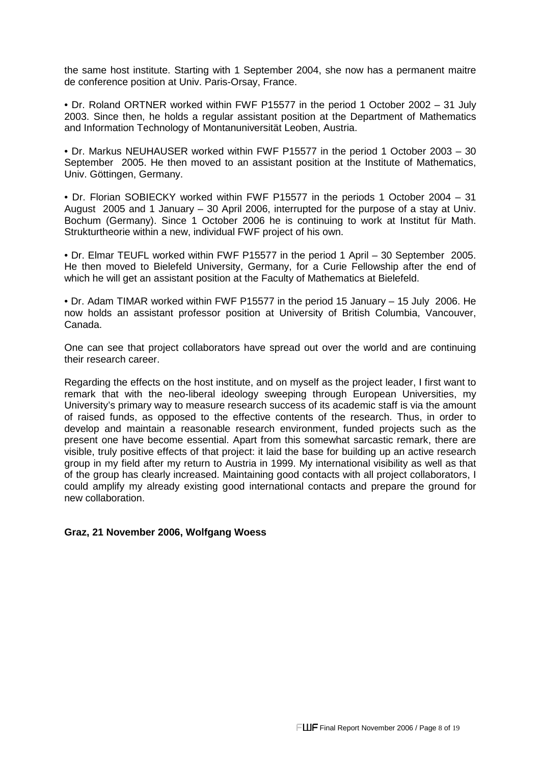the same host institute. Starting with 1 September 2004, she now has a permanent maitre de conference position at Univ. Paris-Orsay, France.

• Dr. Roland ORTNER worked within FWF P15577 in the period 1 October 2002 – 31 July 2003. Since then, he holds a regular assistant position at the Department of Mathematics and Information Technology of Montanuniversität Leoben, Austria.

• Dr. Markus NEUHAUSER worked within FWF P15577 in the period 1 October 2003 – 30 September 2005. He then moved to an assistant position at the Institute of Mathematics, Univ. Göttingen, Germany.

• Dr. Florian SOBIECKY worked within FWF P15577 in the periods 1 October 2004 – 31 August 2005 and 1 January – 30 April 2006, interrupted for the purpose of a stay at Univ. Bochum (Germany). Since 1 October 2006 he is continuing to work at Institut für Math. Strukturtheorie within a new, individual FWF project of his own.

• Dr. Elmar TEUFL worked within FWF P15577 in the period 1 April – 30 September 2005. He then moved to Bielefeld University, Germany, for a Curie Fellowship after the end of which he will get an assistant position at the Faculty of Mathematics at Bielefeld.

• Dr. Adam TIMAR worked within FWF P15577 in the period 15 January – 15 July 2006. He now holds an assistant professor position at University of British Columbia, Vancouver, Canada.

One can see that project collaborators have spread out over the world and are continuing their research career.

Regarding the effects on the host institute, and on myself as the project leader, I first want to remark that with the neo-liberal ideology sweeping through European Universities, my University's primary way to measure research success of its academic staff is via the amount of raised funds, as opposed to the effective contents of the research. Thus, in order to develop and maintain a reasonable research environment, funded projects such as the present one have become essential. Apart from this somewhat sarcastic remark, there are visible, truly positive effects of that project: it laid the base for building up an active research group in my field after my return to Austria in 1999. My international visibility as well as that of the group has clearly increased. Maintaining good contacts with all project collaborators, I could amplify my already existing good international contacts and prepare the ground for new collaboration.

#### **Graz, 21 November 2006, Wolfgang Woess**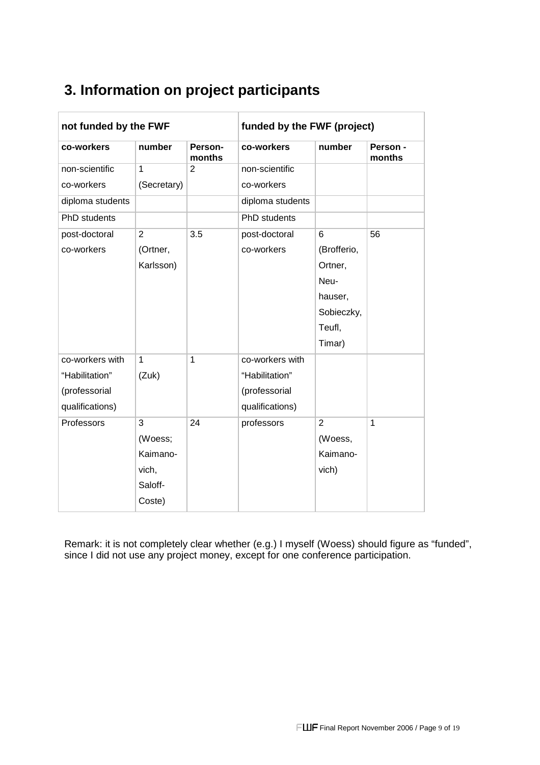| not funded by the FWF |                |                   | funded by the FWF (project) |                |                    |
|-----------------------|----------------|-------------------|-----------------------------|----------------|--------------------|
| co-workers            | number         | Person-<br>months | co-workers                  | number         | Person -<br>months |
| non-scientific        | $\mathbf 1$    | 2                 | non-scientific              |                |                    |
| co-workers            | (Secretary)    |                   | co-workers                  |                |                    |
| diploma students      |                |                   | diploma students            |                |                    |
| PhD students          |                |                   | <b>PhD</b> students         |                |                    |
| post-doctoral         | $\overline{2}$ | 3.5               | post-doctoral               | 6              | 56                 |
| co-workers            | (Ortner,       |                   | co-workers                  | (Brofferio,    |                    |
|                       | Karlsson)      |                   |                             | Ortner,        |                    |
|                       |                |                   |                             | Neu-           |                    |
|                       |                |                   |                             | hauser,        |                    |
|                       |                |                   |                             | Sobieczky,     |                    |
|                       |                |                   |                             | Teufl,         |                    |
|                       |                |                   |                             | Timar)         |                    |
| co-workers with       | $\mathbf{1}$   | 1                 | co-workers with             |                |                    |
| "Habilitation"        | (Zuk)          |                   | "Habilitation"              |                |                    |
| (professorial         |                |                   | (professorial               |                |                    |
| qualifications)       |                |                   | qualifications)             |                |                    |
| Professors            | 3              | 24                | professors                  | $\overline{2}$ | 1                  |
|                       | (Woess;        |                   |                             | (Woess,        |                    |
|                       | Kaimano-       |                   |                             | Kaimano-       |                    |
|                       | vich,          |                   |                             | vich)          |                    |
|                       | Saloff-        |                   |                             |                |                    |
|                       | Coste)         |                   |                             |                |                    |

# **3. Information on project participants**

Remark: it is not completely clear whether (e.g.) I myself (Woess) should figure as "funded", since I did not use any project money, except for one conference participation.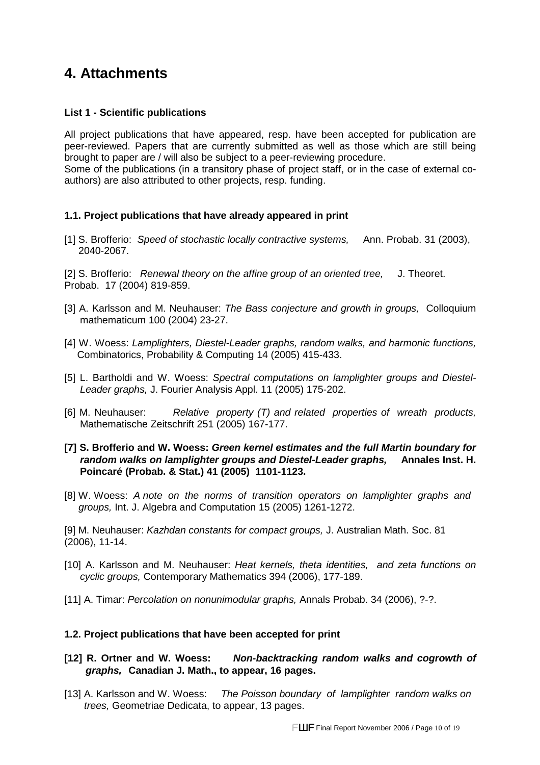## **4. Attachments**

#### **List 1 - Scientific publications**

All project publications that have appeared, resp. have been accepted for publication are peer-reviewed. Papers that are currently submitted as well as those which are still being brought to paper are / will also be subject to a peer-reviewing procedure.

Some of the publications (in a transitory phase of project staff, or in the case of external coauthors) are also attributed to other projects, resp. funding.

#### **1.1. Project publications that have already appeared in print**

[1] S. Brofferio: Speed of stochastic locally contractive systems, Ann. Probab. 31 (2003), 2040-2067.

[2] S. Brofferio: Renewal theory on the affine group of an oriented tree. J. Theoret. Probab. 17 (2004) 819-859.

- [3] A. Karlsson and M. Neuhauser: The Bass conjecture and growth in groups, Colloquium mathematicum 100 (2004) 23-27.
- [4] W. Woess: Lamplighters, Diestel-Leader graphs, random walks, and harmonic functions, Combinatorics, Probability & Computing 14 (2005) 415-433.
- [5] L. Bartholdi and W. Woess: Spectral computations on lamplighter groups and Diestel-Leader graphs, J. Fourier Analysis Appl. 11 (2005) 175-202.
- [6] M. Neuhauser: Relative property (T) and related properties of wreath products, Mathematische Zeitschrift 251 (2005) 167-177.
- **[7] S. Brofferio and W. Woess: Green kernel estimates and the full Martin boundary for random walks on lamplighter groups and Diestel-Leader graphs, Annales Inst. H. Poincar**é **(Probab. & Stat.) 41 (2005) 1101-1123.**
- [8] W. Woess: A note on the norms of transition operators on lamplighter graphs and groups, Int. J. Algebra and Computation 15 (2005) 1261-1272.

[9] M. Neuhauser: Kazhdan constants for compact groups, J. Australian Math. Soc. 81 (2006), 11-14.

- [10] A. Karlsson and M. Neuhauser: Heat kernels, theta identities, and zeta functions on cyclic groups, Contemporary Mathematics 394 (2006), 177-189.
- [11] A. Timar: Percolation on nonunimodular graphs, Annals Probab. 34 (2006), ?-?.

#### **1.2. Project publications that have been accepted for print**

- **[12] R. Ortner and W. Woess: Non-backtracking random walks and cogrowth of graphs, Canadian J. Math., to appear, 16 pages.**
- [13] A. Karlsson and W. Woess: The Poisson boundary of lamplighter random walks on trees, Geometriae Dedicata, to appear, 13 pages.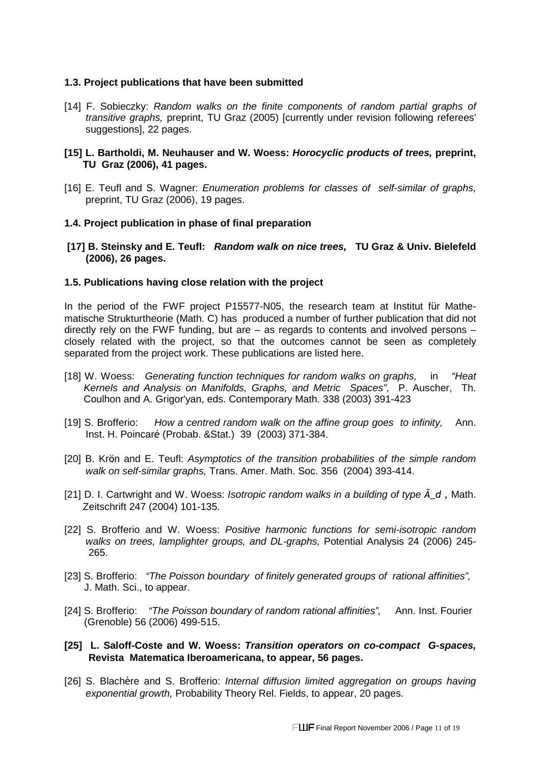#### **1.3. Project publications that have been submitted**

[14] F. Sobieczky: Random walks on the finite components of random partial graphs of transitive graphs, preprint, TU Graz (2005) [currently under revision following referees' suggestions], 22 pages.

#### **[15] L. Bartholdi, M. Neuhauser and W. Woess: Horocyclic products of trees, preprint, TU Graz (2006), 41 pages.**

[16] E. Teufl and S. Wagner: *Enumeration problems for classes of self-similar of graphs*, preprint, TU Graz (2006), 19 pages.

#### **1.4. Project publication in phase of final preparation**

**[17] B. Steinsky and E. Teufl: Random walk on nice trees, TU Graz & Univ. Bielefeld (2006), 26 pages.** 

#### **1.5. Publications having close relation with the project**

In the period of the FWF project P15577-N05, the research team at Institut für Mathematische Strukturtheorie (Math. C) has produced a number of further publication that did not directly rely on the FWF funding, but are  $-$  as regards to contents and involved persons  $$ closely related with the project, so that the outcomes cannot be seen as completely separated from the project work. These publications are listed here.

- [18] W. Woess: Generating function techniques for random walks on graphs, in "Heat" Kernels and Analysis on Manifolds, Graphs, and Metric Spaces", P. Auscher, Th. Coulhon and A. Grigor'yan, eds. Contemporary Math. 338 (2003) 391-423
- [19] S. Brofferio: How a centred random walk on the affine group goes to infinity, Ann. Inst. H. Poincaré (Probab. &Stat.) 39 (2003) 371-384.
- [20] B. Krön and E. Teufl: Asymptotics of the transition probabilities of the simple random walk on self-similar graphs, Trans. Amer. Math. Soc. 356 (2004) 393-414.
- [21] D. I. Cartwright and W. Woess: Isotropic random walks in a building of type  $\tilde{A}$  d, Math. Zeitschrift 247 (2004) 101-135.
- [22] S. Brofferio and W. Woess: Positive harmonic functions for semi-isotropic random walks on trees, lamplighter groups, and DL-graphs, Potential Analysis 24 (2006) 245- 265.
- [23] S. Brofferio: "The Poisson boundary of finitely generated groups of rational affinities", J. Math. Sci., to appear.
- [24] S. Brofferio: "The Poisson boundary of random rational affinities", Ann. Inst. Fourier (Grenoble) 56 (2006) 499-515.

#### **[25] L. Saloff-Coste and W. Woess: Transition operators on co-compact G-spaces, Revista Matematica Iberoamericana, to appear, 56 pages.**

[26] S. Blachère and S. Brofferio: Internal diffusion limited aggregation on groups having exponential growth, Probability Theory Rel. Fields, to appear, 20 pages.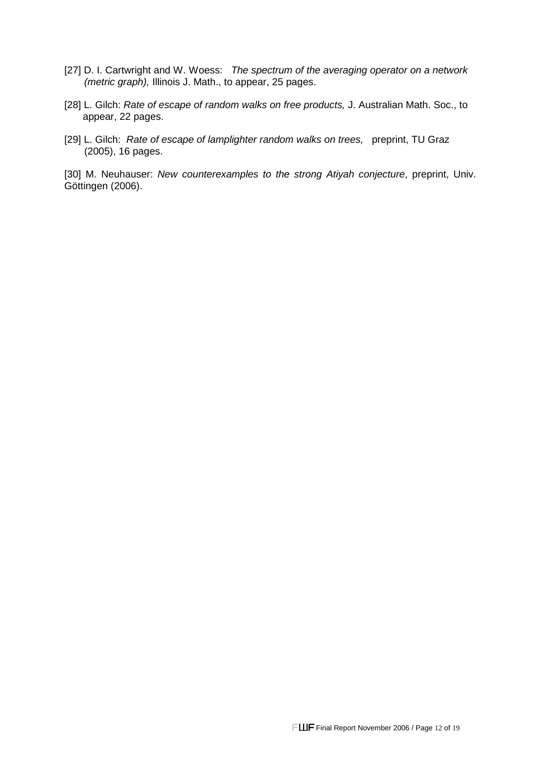- [27] D. I. Cartwright and W. Woess: The spectrum of the averaging operator on a network (metric graph), Illinois J. Math., to appear, 25 pages.
- [28] L. Gilch: Rate of escape of random walks on free products, J. Australian Math. Soc., to appear, 22 pages.
- [29] L. Gilch: Rate of escape of lamplighter random walks on trees, preprint, TU Graz (2005), 16 pages.

[30] M. Neuhauser: New counterexamples to the strong Atiyah conjecture, preprint, Univ. Göttingen (2006).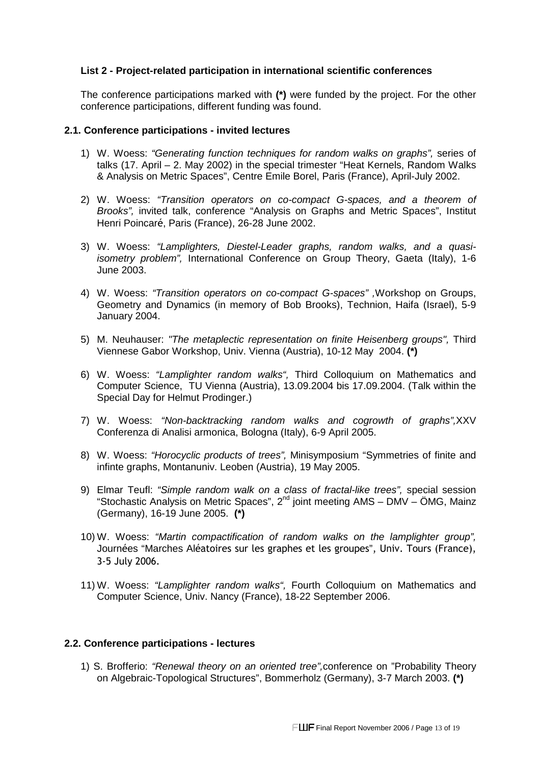#### **List 2 - Project-related participation in international scientific conferences**

The conference participations marked with **(\*)** were funded by the project. For the other conference participations, different funding was found.

#### **2.1. Conference participations - invited lectures**

- 1) W. Woess: "Generating function techniques for random walks on graphs", series of talks (17. April – 2. May 2002) in the special trimester "Heat Kernels, Random Walks & Analysis on Metric Spaces", Centre Emile Borel, Paris (France), April-July 2002.
- 2) W. Woess: "Transition operators on co-compact G-spaces, and a theorem of Brooks", invited talk, conference "Analysis on Graphs and Metric Spaces", Institut Henri Poincaré, Paris (France), 26-28 June 2002.
- 3) W. Woess: "Lamplighters, Diestel-Leader graphs, random walks, and a quasiisometry problem", International Conference on Group Theory, Gaeta (Italy), 1-6 June 2003.
- 4) W. Woess: "Transition operators on co-compact G-spaces" , Workshop on Groups, Geometry and Dynamics (in memory of Bob Brooks), Technion, Haifa (Israel), 5-9 January 2004.
- 5) M. Neuhauser: "The metaplectic representation on finite Heisenberg groups", Third Viennese Gabor Workshop, Univ. Vienna (Austria), 10-12 May 2004. **(\*)**
- 6) W. Woess: "Lamplighter random walks", Third Colloquium on Mathematics and Computer Science, TU Vienna (Austria), 13.09.2004 bis 17.09.2004. (Talk within the Special Day for Helmut Prodinger.)
- 7) W. Woess: "Non-backtracking random walks and cogrowth of graphs",XXV Conferenza di Analisi armonica, Bologna (Italy), 6-9 April 2005.
- 8) W. Woess: "Horocyclic products of trees", Minisymposium "Symmetries of finite and infinte graphs, Montanuniv. Leoben (Austria), 19 May 2005.
- 9) Elmar Teufl: "Simple random walk on a class of fractal-like trees", special session "Stochastic Analysis on Metric Spaces",  $2^{nd}$  joint meeting AMS – DMV – ÖMG, Mainz (Germany), 16-19 June 2005. **(\*)**
- 10) W. Woess: "Martin compactification of random walks on the lamplighter group", Journées "Marches Aléatoires sur les graphes et les groupes", Univ. Tours (France), 3-5 July 2006.
- 11) W. Woess: "Lamplighter random walks", Fourth Colloquium on Mathematics and Computer Science, Univ. Nancy (France), 18-22 September 2006.

#### **2.2. Conference participations - lectures**

1) S. Brofferio: "Renewal theory on an oriented tree",conference on "Probability Theory on Algebraic-Topological Structures", Bommerholz (Germany), 3-7 March 2003. **(\*)**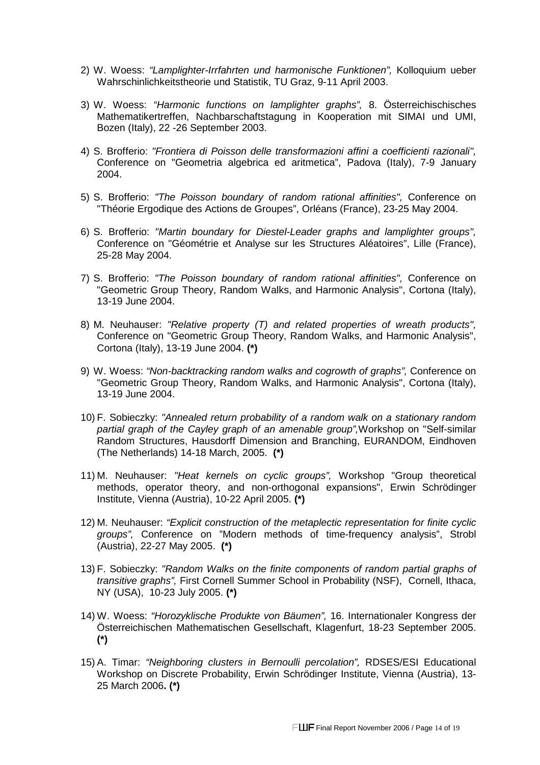- 2) W. Woess: "Lamplighter-Irrfahrten und harmonische Funktionen", Kolloquium ueber Wahrschinlichkeitstheorie und Statistik, TU Graz, 9-11 April 2003.
- 3) W. Woess: "Harmonic functions on lamplighter graphs", 8. Österreichischisches Mathematikertreffen, Nachbarschaftstagung in Kooperation mit SIMAI und UMI, Bozen (Italy), 22 -26 September 2003.
- 4) S. Brofferio: "Frontiera di Poisson delle transformazioni affini a coefficienti razionali", Conference on "Geometria algebrica ed aritmetica", Padova (Italy), 7-9 January 2004.
- 5) S. Brofferio: "The Poisson boundary of random rational affinities", Conference on "Théorie Ergodique des Actions de Groupes", Orléans (France), 23-25 May 2004.
- 6) S. Brofferio: "Martin boundary for Diestel-Leader graphs and lamplighter groups", Conference on "Géométrie et Analyse sur les Structures Aléatoires", Lille (France), 25-28 May 2004.
- 7) S. Brofferio: "The Poisson boundary of random rational affinities", Conference on "Geometric Group Theory, Random Walks, and Harmonic Analysis", Cortona (Italy), 13-19 June 2004.
- 8) M. Neuhauser: "Relative property (T) and related properties of wreath products", Conference on "Geometric Group Theory, Random Walks, and Harmonic Analysis", Cortona (Italy), 13-19 June 2004. **(\*)**
- 9) W. Woess: "Non-backtracking random walks and cogrowth of graphs", Conference on "Geometric Group Theory, Random Walks, and Harmonic Analysis", Cortona (Italy), 13-19 June 2004.
- 10) F. Sobieczky: "Annealed return probability of a random walk on a stationary random partial graph of the Cayley graph of an amenable group",Workshop on "Self-similar Random Structures, Hausdorff Dimension and Branching, EURANDOM, Eindhoven (The Netherlands) 14-18 March, 2005. **(\*)**
- 11) M. Neuhauser: "Heat kernels on cyclic groups", Workshop "Group theoretical methods, operator theory, and non-orthogonal expansions", Erwin Schrödinger Institute, Vienna (Austria), 10-22 April 2005. **(\*)**
- 12) M. Neuhauser: "Explicit construction of the metaplectic representation for finite cyclic groups", Conference on "Modern methods of time-frequency analysis", Strobl (Austria), 22-27 May 2005. **(\*)**
- 13) F. Sobieczky: "Random Walks on the finite components of random partial graphs of transitive graphs", First Cornell Summer School in Probability (NSF), Cornell, Ithaca, NY (USA), 10-23 July 2005. **(\*)**
- 14) W. Woess: "Horozyklische Produkte von Bäumen", 16. Internationaler Kongress der Österreichischen Mathematischen Gesellschaft, Klagenfurt, 18-23 September 2005. **(\*)**
- 15) A. Timar: "Neighboring clusters in Bernoulli percolation", RDSES/ESI Educational Workshop on Discrete Probability, Erwin Schrödinger Institute, Vienna (Austria), 13- 25 March 2006**. (\*)**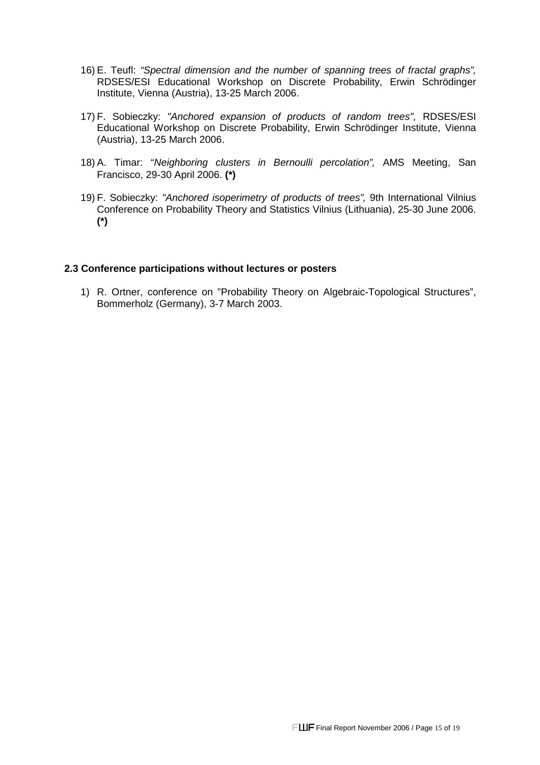- 16) E. Teufl: "Spectral dimension and the number of spanning trees of fractal graphs", RDSES/ESI Educational Workshop on Discrete Probability, Erwin Schrödinger Institute, Vienna (Austria), 13-25 March 2006.
- 17) F. Sobieczky: "Anchored expansion of products of random trees", RDSES/ESI Educational Workshop on Discrete Probability, Erwin Schrödinger Institute, Vienna (Austria), 13-25 March 2006.
- 18) A. Timar: "Neighboring clusters in Bernoulli percolation", AMS Meeting, San Francisco, 29-30 April 2006. **(\*)**
- 19) F. Sobieczky: "Anchored isoperimetry of products of trees", 9th International Vilnius Conference on Probability Theory and Statistics Vilnius (Lithuania), 25-30 June 2006. **(\*)**

#### **2.3 Conference participations without lectures or posters**

1) R. Ortner, conference on "Probability Theory on Algebraic-Topological Structures", Bommerholz (Germany), 3-7 March 2003.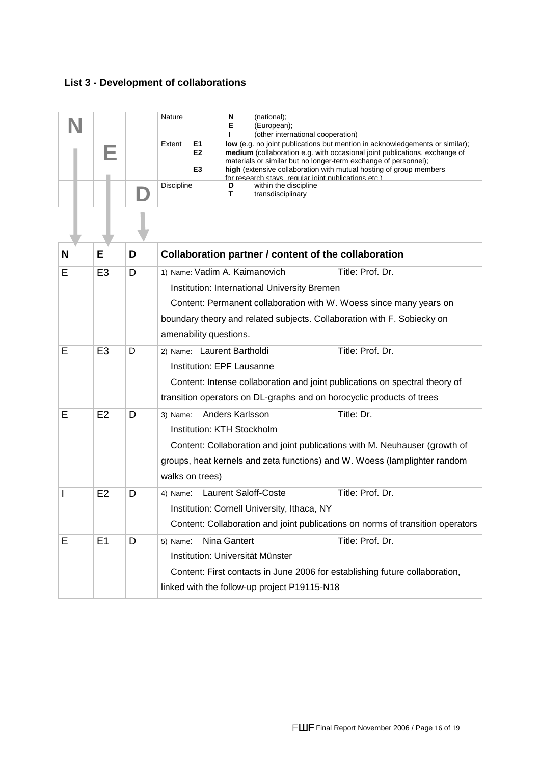### **List 3 - Development of collaborations**

|   |                |   | Nature<br>(national);<br>N<br>Е<br>(European);<br>(other international cooperation)                                                                                                                                                                                                                                                                                                                 |  |  |  |
|---|----------------|---|-----------------------------------------------------------------------------------------------------------------------------------------------------------------------------------------------------------------------------------------------------------------------------------------------------------------------------------------------------------------------------------------------------|--|--|--|
|   |                |   | E1<br>low (e.g. no joint publications but mention in acknowledgements or similar);<br>Extent<br>E <sub>2</sub><br>medium (collaboration e.g. with occasional joint publications, exchange of<br>materials or similar but no longer-term exchange of personnel);<br>E3<br>high (extensive collaboration with mutual hosting of group members<br>for research stavs requilar ioint publications etc.) |  |  |  |
|   |                |   | Discipline<br>within the discipline<br>D<br>т<br>transdisciplinary                                                                                                                                                                                                                                                                                                                                  |  |  |  |
|   |                |   |                                                                                                                                                                                                                                                                                                                                                                                                     |  |  |  |
| N | E              | D | Collaboration partner / content of the collaboration                                                                                                                                                                                                                                                                                                                                                |  |  |  |
| E | E <sub>3</sub> | D | 1) Name: Vadim A. Kaimanovich<br>Title: Prof. Dr.<br>Institution: International University Bremen<br>Content: Permanent collaboration with W. Woess since many years on<br>boundary theory and related subjects. Collaboration with F. Sobiecky on                                                                                                                                                  |  |  |  |
| E | E <sub>3</sub> | D | amenability questions.<br>Title: Prof. Dr.<br>2) Name: Laurent Bartholdi<br>Institution: EPF Lausanne<br>Content: Intense collaboration and joint publications on spectral theory of<br>transition operators on DL-graphs and on horocyclic products of trees                                                                                                                                       |  |  |  |
| E | E2             | D | Title: Dr.<br>Anders Karlsson<br>3) Name:<br>Institution: KTH Stockholm<br>Content: Collaboration and joint publications with M. Neuhauser (growth of<br>groups, heat kernels and zeta functions) and W. Woess (lamplighter random<br>walks on trees)                                                                                                                                               |  |  |  |
| I | E2             | D | 4) Name: Laurent Saloff-Coste<br>Title: Prof. Dr.<br>Institution: Cornell University, Ithaca, NY<br>Content: Collaboration and joint publications on norms of transition operators                                                                                                                                                                                                                  |  |  |  |
| Е | E <sub>1</sub> | D | Title: Prof. Dr.<br>Nina Gantert<br>5) Name:<br>Institution: Universität Münster<br>Content: First contacts in June 2006 for establishing future collaboration,<br>linked with the follow-up project P19115-N18                                                                                                                                                                                     |  |  |  |